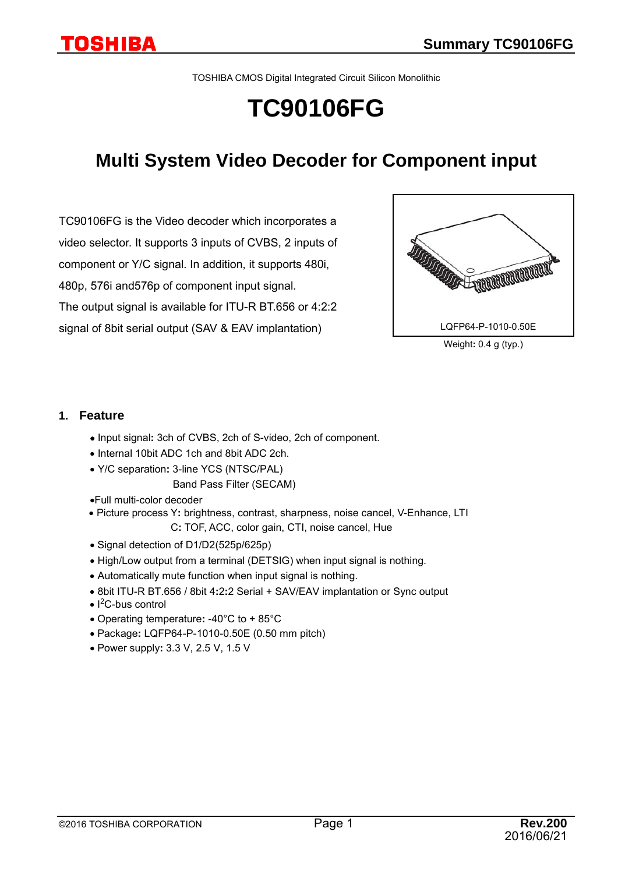TOSHIBA CMOS Digital Integrated Circuit Silicon Monolithic

# **TC90106FG**

## **Multi System Video Decoder for Component input**

TC90106FG is the Video decoder which incorporates a video selector. It supports 3 inputs of CVBS, 2 inputs of component or Y/C signal. In addition, it supports 480i, 480p, 576i and576p of component input signal. The output signal is available for ITU-R BT.656 or 4:2:2 signal of 8bit serial output (SAV & EAV implantation)



Weight**:** 0.4 g (typ.)

### **1. Feature**

- Input signal**:** 3ch of CVBS, 2ch of S-video, 2ch of component.
- Internal 10bit ADC 1ch and 8bit ADC 2ch.
- Y/C separation**:** 3-line YCS (NTSC/PAL)

### Band Pass Filter (SECAM)

- •Full multi-color decoder
- Picture process Y**:** brightness, contrast, sharpness, noise cancel, V-Enhance, LTI C**:** TOF, ACC, color gain, CTI, noise cancel, Hue
- Signal detection of D1/D2(525p/625p)
- High/Low output from a terminal (DETSIG) when input signal is nothing.
- Automatically mute function when input signal is nothing.
- 8bit ITU-R BT.656 / 8bit 4**:**2**:**2 Serial + SAV/EAV implantation or Sync output
- I<sup>2</sup>C-bus control
- Operating temperature**:** -40°C to + 85°C
- Package**:** LQFP64-P-1010-0.50E (0.50 mm pitch)
- Power supply**:** 3.3 V, 2.5 V, 1.5 V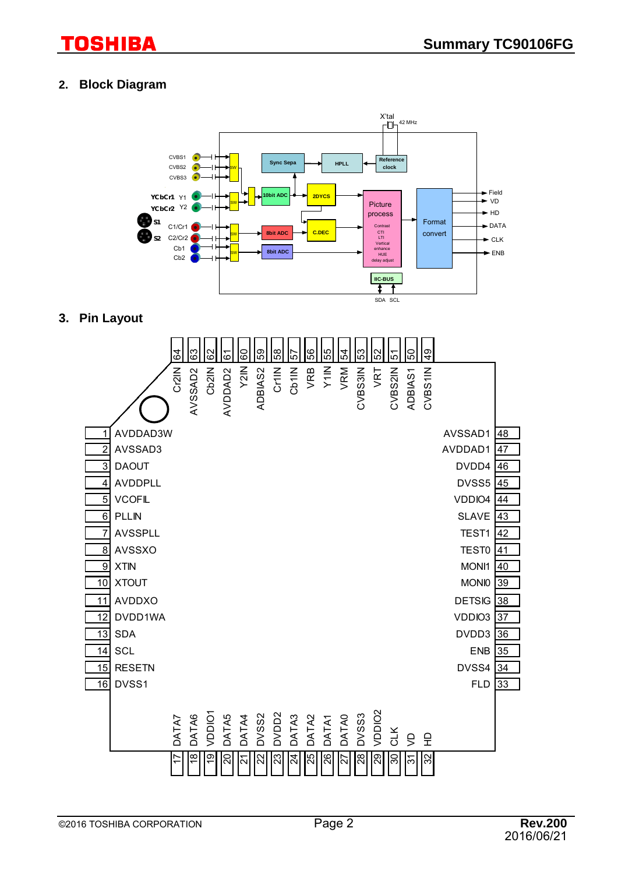### **2. Block Diagram**



### **3. Pin Layout**

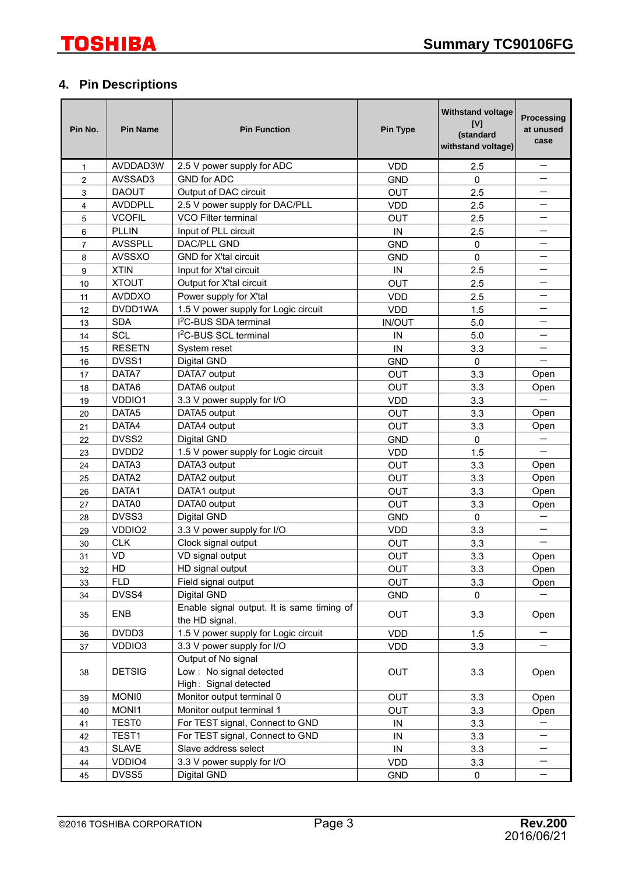### **4. Pin Descriptions**

| Pin No.        | <b>Pin Name</b>   | <b>Pin Function</b>                                          | <b>Pin Type</b> | <b>Withstand voltage</b><br>[V]<br>(standard<br>withstand voltage) | Processing<br>at unused<br>case |
|----------------|-------------------|--------------------------------------------------------------|-----------------|--------------------------------------------------------------------|---------------------------------|
| 1              | AVDDAD3W          | 2.5 V power supply for ADC                                   | <b>VDD</b>      | 2.5                                                                | $\qquad \qquad -$               |
| $\overline{2}$ | AVSSAD3           | <b>GND for ADC</b>                                           | <b>GND</b>      | $\mathbf 0$                                                        |                                 |
| 3              | <b>DAOUT</b>      | Output of DAC circuit                                        | <b>OUT</b>      | 2.5                                                                |                                 |
| 4              | <b>AVDDPLL</b>    | 2.5 V power supply for DAC/PLL                               | <b>VDD</b>      | 2.5                                                                |                                 |
| 5              | <b>VCOFIL</b>     | VCO Filter terminal                                          | <b>OUT</b>      | 2.5                                                                |                                 |
| 6              | <b>PLLIN</b>      | Input of PLL circuit                                         | IN              | 2.5                                                                |                                 |
| 7              | <b>AVSSPLL</b>    | DAC/PLL GND                                                  | <b>GND</b>      | 0                                                                  |                                 |
| 8              | <b>AVSSXO</b>     | <b>GND for X'tal circuit</b>                                 | <b>GND</b>      | 0                                                                  |                                 |
| 9              | <b>XTIN</b>       | Input for X'tal circuit                                      | IN              | 2.5                                                                |                                 |
| 10             | <b>XTOUT</b>      | Output for X'tal circuit                                     | <b>OUT</b>      | 2.5                                                                | —                               |
| 11             | <b>AVDDXO</b>     | Power supply for X'tal                                       | <b>VDD</b>      | 2.5                                                                |                                 |
| 12             | DVDD1WA           | 1.5 V power supply for Logic circuit                         | <b>VDD</b>      | 1.5                                                                |                                 |
| 13             | <b>SDA</b>        | I <sup>2</sup> C-BUS SDA terminal                            | <b>IN/OUT</b>   | 5.0                                                                |                                 |
| 14             | <b>SCL</b>        | I <sup>2</sup> C-BUS SCL terminal                            | IN              | 5.0                                                                |                                 |
| 15             | <b>RESETN</b>     | System reset                                                 | IN              | 3.3                                                                |                                 |
| 16             | DVSS1             | Digital GND                                                  | <b>GND</b>      | 0                                                                  |                                 |
| 17             | DATA7             | DATA7 output                                                 | OUT             | 3.3                                                                | Open                            |
| 18             | DATA6             | DATA6 output                                                 | <b>OUT</b>      | 3.3                                                                | Open                            |
| 19             | VDDIO1            | 3.3 V power supply for I/O                                   | <b>VDD</b>      | 3.3                                                                |                                 |
| 20             | DATA <sub>5</sub> | DATA5 output                                                 | <b>OUT</b>      | 3.3                                                                | Open                            |
| 21             | DATA4             | DATA4 output                                                 | <b>OUT</b>      | 3.3                                                                | Open                            |
| 22             | DVSS2             | Digital GND                                                  | <b>GND</b>      | $\mathbf 0$                                                        | $\overline{\phantom{0}}$        |
| 23             | DVDD <sub>2</sub> | 1.5 V power supply for Logic circuit                         | <b>VDD</b>      | 1.5                                                                | $\overline{\phantom{0}}$        |
| 24             | DATA3             | DATA3 output                                                 | <b>OUT</b>      | 3.3                                                                | Open                            |
| 25             | DATA <sub>2</sub> | DATA2 output                                                 | <b>OUT</b>      | 3.3                                                                | Open                            |
| 26             | DATA1             | DATA1 output                                                 | OUT             | 3.3                                                                | Open                            |
| 27             | DATA0             | DATA0 output                                                 | <b>OUT</b>      | 3.3                                                                | Open                            |
| 28             | DVSS3             | Digital GND                                                  | <b>GND</b>      | 0                                                                  |                                 |
| 29             | VDDIO2            | 3.3 V power supply for I/O                                   | <b>VDD</b>      | 3.3                                                                |                                 |
| 30             | <b>CLK</b>        | Clock signal output                                          | <b>OUT</b>      | 3.3                                                                |                                 |
| 31             | <b>VD</b>         | VD signal output                                             | OUT             | 3.3                                                                | Open                            |
| 32             | HD                | HD signal output                                             | <b>OUT</b>      | 3.3                                                                | Open                            |
| 33             | <b>FLD</b>        | Field signal output                                          | <b>OUT</b>      | 3.3                                                                | Open                            |
| 34             | DVSS4             | Digital GND                                                  | <b>GND</b>      | 0                                                                  |                                 |
| 35             | <b>ENB</b>        | Enable signal output. It is same timing of<br>the HD signal. | <b>OUT</b>      | 3.3                                                                | Open                            |
| 36             | DVDD3             | 1.5 V power supply for Logic circuit                         | <b>VDD</b>      | 1.5                                                                | $\qquad \qquad -$               |
| 37             | VDDIO3            | 3.3 V power supply for I/O                                   | <b>VDD</b>      | 3.3                                                                |                                 |
|                |                   | Output of No signal                                          |                 |                                                                    |                                 |
| 38             | <b>DETSIG</b>     | Low : No signal detected<br>High: Signal detected            | <b>OUT</b>      | 3.3                                                                | Open                            |
| 39             | <b>MONIO</b>      | Monitor output terminal 0                                    | <b>OUT</b>      | 3.3                                                                | Open                            |
| 40             | MONI1             | Monitor output terminal 1                                    | <b>OUT</b>      | 3.3                                                                | Open                            |
| 41             | <b>TEST0</b>      | For TEST signal, Connect to GND                              | IN              | 3.3                                                                |                                 |
| 42             | TEST1             | For TEST signal, Connect to GND                              | IN              | 3.3                                                                |                                 |
| 43             | <b>SLAVE</b>      | Slave address select                                         | IN              | 3.3                                                                |                                 |
| 44             | VDDIO4            | 3.3 V power supply for I/O                                   | <b>VDD</b>      | 3.3                                                                | $\qquad \qquad -$               |
| 45             | DVSS5             | Digital GND                                                  | <b>GND</b>      | 0                                                                  | $\qquad \qquad -$               |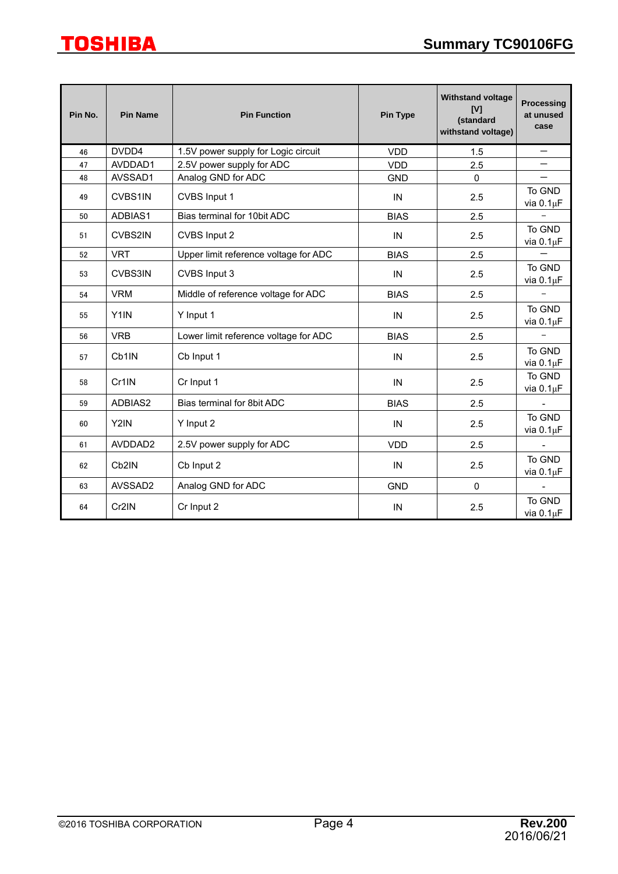| Pin No. | <b>Pin Name</b>    | <b>Pin Function</b>                                  | <b>Withstand voltage</b><br>[V]<br>(standard<br>withstand voltage) | <b>Processing</b><br>at unused<br>case |                           |
|---------|--------------------|------------------------------------------------------|--------------------------------------------------------------------|----------------------------------------|---------------------------|
| 46      | DVDD4              | 1.5V power supply for Logic circuit                  | <b>VDD</b>                                                         | 1.5                                    |                           |
| 47      | AVDDAD1            | 2.5V power supply for ADC                            | <b>VDD</b>                                                         | 2.5                                    |                           |
| 48      | AVSSAD1            | Analog GND for ADC                                   | <b>GND</b>                                                         | $\Omega$                               |                           |
| 49      | CVBS1IN            | CVBS Input 1                                         | IN                                                                 | 2.5                                    | To GND<br>via $0.1 \mu F$ |
| 50      | ADBIAS1            | Bias terminal for 10bit ADC                          | <b>BIAS</b>                                                        | 2.5                                    |                           |
| 51      | <b>CVBS2IN</b>     | CVBS Input 2                                         | IN                                                                 | 2.5                                    | To GND<br>via $0.1 \mu F$ |
| 52      | <b>VRT</b>         | Upper limit reference voltage for ADC                | <b>BIAS</b>                                                        | 2.5                                    |                           |
| 53      | CVBS3IN            | CVBS Input 3<br>IN                                   |                                                                    | 2.5                                    | To GND<br>via $0.1 \mu F$ |
| 54      | <b>VRM</b>         | Middle of reference voltage for ADC<br><b>BIAS</b>   |                                                                    | 2.5                                    | $\overline{\phantom{0}}$  |
| 55      | Y1IN               | Y Input 1<br>$\sf IN$                                |                                                                    | 2.5                                    | To GND<br>via $0.1 \mu F$ |
| 56      | <b>VRB</b>         | Lower limit reference voltage for ADC<br><b>BIAS</b> |                                                                    | 2.5                                    |                           |
| 57      | Cb1IN              | Cb Input 1                                           | IN<br>2.5                                                          |                                        | To GND<br>via $0.1 \mu F$ |
| 58      | Cr1IN              | Cr Input 1                                           | IN                                                                 | 2.5                                    | To GND<br>via $0.1 \mu F$ |
| 59      | ADBIAS2            | Bias terminal for 8bit ADC                           | <b>BIAS</b>                                                        | 2.5                                    |                           |
| 60      | Y2IN               | Y Input 2<br>IN<br>2.5                               |                                                                    |                                        | To GND<br>via $0.1 \mu F$ |
| 61      | AVDDAD2            | 2.5V power supply for ADC                            | <b>VDD</b>                                                         | 2.5                                    |                           |
| 62      | Cb <sub>2</sub> IN | Cb Input 2                                           | $\sf IN$                                                           | 2.5                                    | To GND<br>via $0.1 \mu F$ |
| 63      | AVSSAD2            | Analog GND for ADC                                   | <b>GND</b>                                                         | $\mathbf 0$                            |                           |
| 64      | Cr2IN              | Cr Input 2                                           | IN<br>2.5                                                          |                                        | To GND<br>via $0.1 \mu F$ |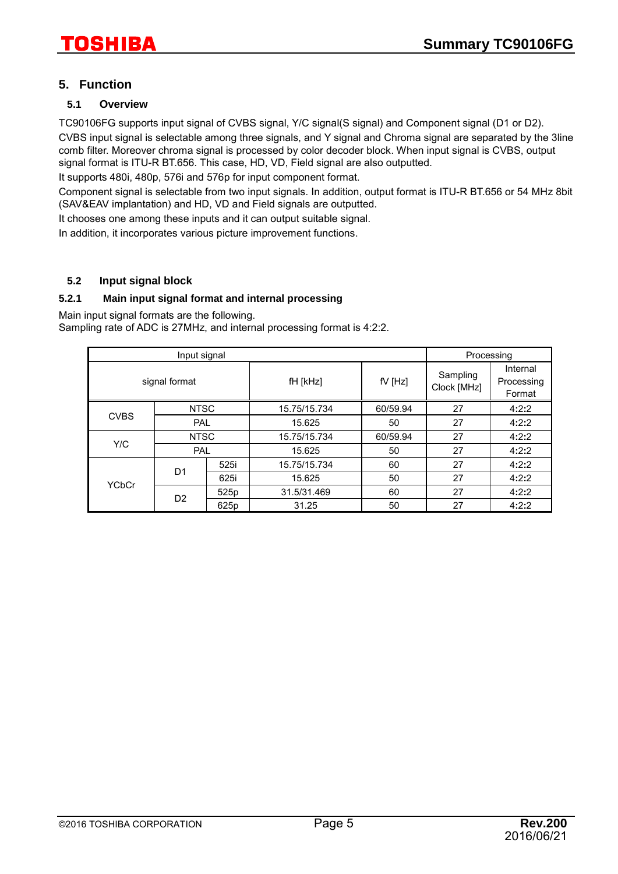### **5. Function**

### **5.1 Overview**

TC90106FG supports input signal of CVBS signal, Y/C signal(S signal) and Component signal (D1 or D2). CVBS input signal is selectable among three signals, and Y signal and Chroma signal are separated by the 3line comb filter. Moreover chroma signal is processed by color decoder block. When input signal is CVBS, output signal format is ITU-R BT.656. This case, HD, VD, Field signal are also outputted.

It supports 480i, 480p, 576i and 576p for input component format.

Component signal is selectable from two input signals. In addition, output format is ITU-R BT.656 or 54 MHz 8bit (SAV&EAV implantation) and HD, VD and Field signals are outputted.

It chooses one among these inputs and it can output suitable signal.

In addition, it incorporates various picture improvement functions.

### **5.2 Input signal block**

### **5.2.1 Main input signal format and internal processing**

Main input signal formats are the following.

Sampling rate of ADC is 27MHz, and internal processing format is 4:2:2.

|               | Processing     |      |                       |          |                         |                                  |
|---------------|----------------|------|-----------------------|----------|-------------------------|----------------------------------|
| signal format |                |      | fH [kHz]<br>$fV$ [Hz] |          | Sampling<br>Clock [MHz] | Internal<br>Processing<br>Format |
|               | <b>NTSC</b>    |      | 15.75/15.734          | 60/59.94 | 27                      | 4:2:2                            |
| <b>CVBS</b>   | PAL            |      | 15.625                | 50       | 27                      | 4:2:2                            |
|               | <b>NTSC</b>    |      | 15.75/15.734          | 60/59.94 | 27                      | 4:2:2                            |
| Y/C           | PAL            |      | 15.625                | 50       | 27                      | 4:2:2                            |
|               |                | 525i | 15.75/15.734          | 60       | 27                      | 4:2:2                            |
| <b>YCbCr</b>  | D <sub>1</sub> | 625i | 15.625                | 50       | 27                      | 4:2:2                            |
|               |                | 525p | 31.5/31.469           | 60       | 27                      | 4:2:2                            |
|               | D <sub>2</sub> | 625p | 31.25                 | 50       | 27                      | 4:2:2                            |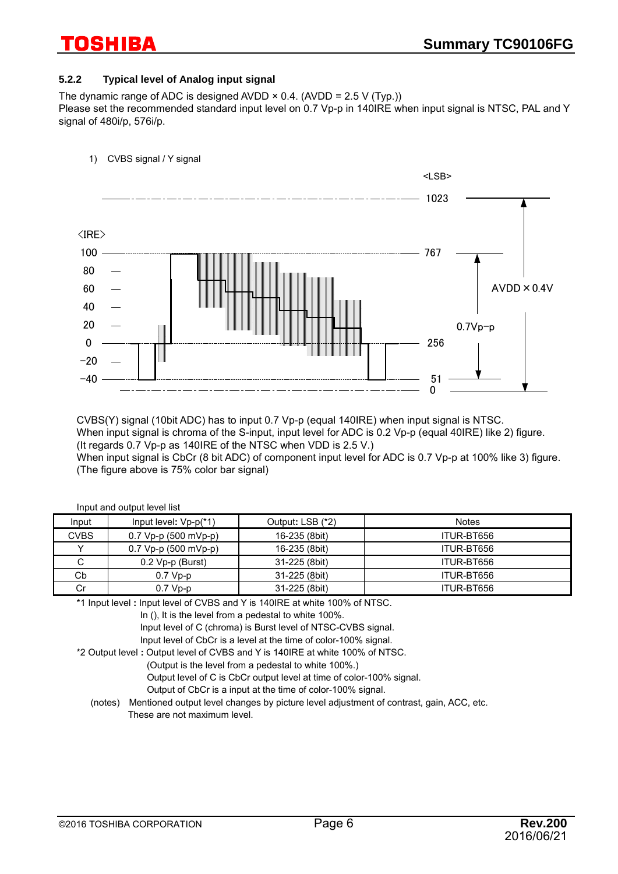### **5.2.2 Typical level of Analog input signal**

The dynamic range of ADC is designed AVDD  $\times$  0.4. (AVDD = 2.5 V (Typ.)) Please set the recommended standard input level on 0.7 Vp-p in 140IRE when input signal is NTSC, PAL and Y signal of 480i/p, 576i/p.



CVBS(Y) signal (10bit ADC) has to input 0.7 Vp-p (equal 140IRE) when input signal is NTSC. When input signal is chroma of the S-input, input level for ADC is 0.2 Vp-p (equal 40IRE) like 2) figure. (It regards 0.7 Vp-p as 140IRE of the NTSC when VDD is 2.5 V.)

When input signal is CbCr (8 bit ADC) of component input level for ADC is 0.7 Vp-p at 100% like 3) figure. (The figure above is 75% color bar signal)

| <b>Notes</b> |
|--------------|
|              |
| ITUR-BT656   |
| ITUR-BT656   |
| ITUR-BT656   |
| ITUR-BT656   |
| ITUR-BT656   |
|              |

\*1 Input level **:** Input level of CVBS and Y is 140IRE at white 100% of NTSC.

In (), It is the level from a pedestal to white 100%.

Input level of C (chroma) is Burst level of NTSC-CVBS signal.

Input level of CbCr is a level at the time of color-100% signal.

\*2 Output level **:** Output level of CVBS and Y is 140IRE at white 100% of NTSC.

(Output is the level from a pedestal to white 100%.)

Output level of C is CbCr output level at time of color-100% signal.

Output of CbCr is a input at the time of color-100% signal.

(notes) Mentioned output level changes by picture level adjustment of contrast, gain, ACC, etc. These are not maximum level.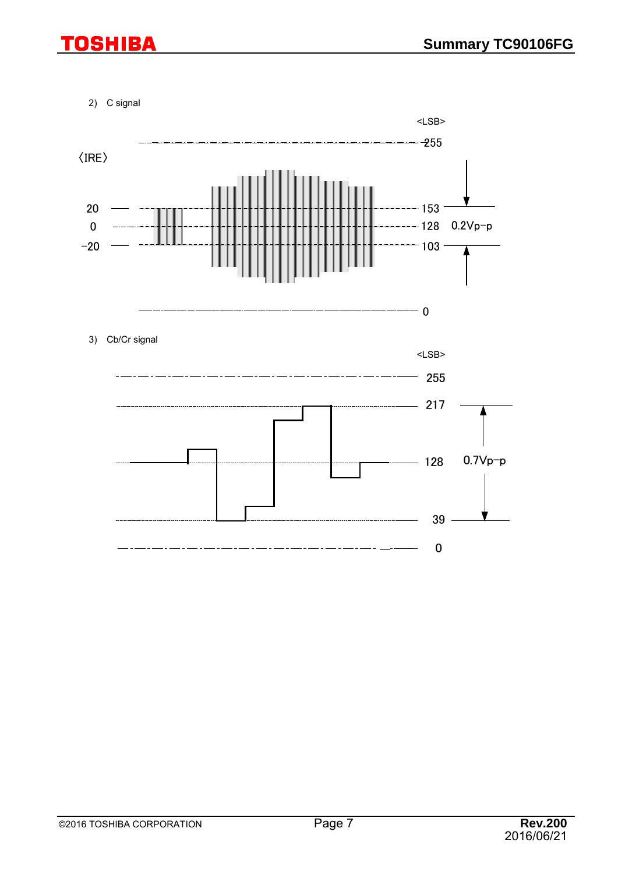2) C signal

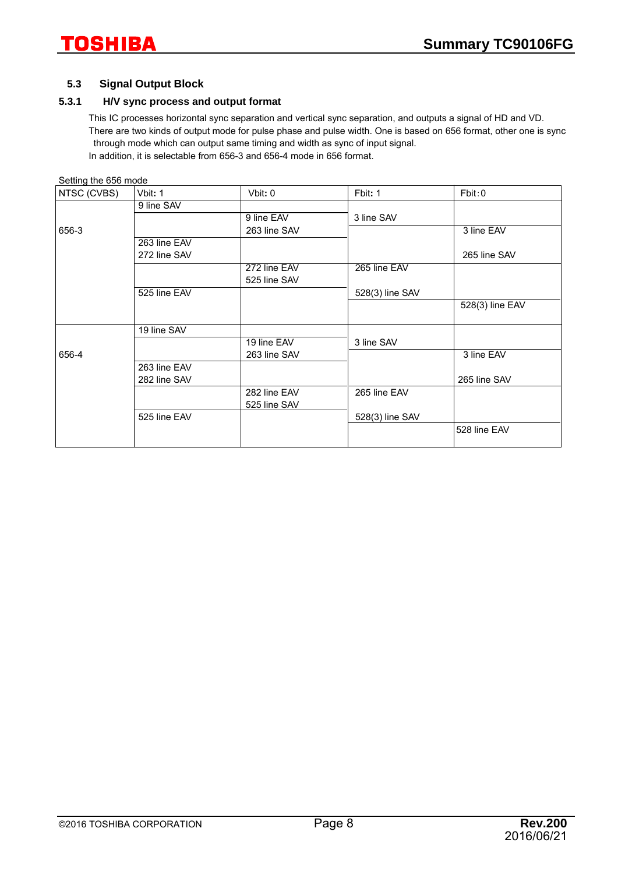### **5.3 Signal Output Block**

### **5.3.1 H/V sync process and output format**

This IC processes horizontal sync separation and vertical sync separation, and outputs a signal of HD and VD. There are two kinds of output mode for pulse phase and pulse width. One is based on 656 format, other one is sync through mode which can output same timing and width as sync of input signal. In addition, it is selectable from 656-3 and 656-4 mode in 656 format.

| Setting the 656 mode |              |                 |                 |
|----------------------|--------------|-----------------|-----------------|
| Vbit: 1              | Vbit: 0      | Fbit: 1         | Fbit:0          |
| 9 line SAV           |              |                 |                 |
|                      | 9 line EAV   | 3 line SAV      |                 |
|                      | 263 line SAV |                 | 3 line EAV      |
| 263 line EAV         |              |                 |                 |
| 272 line SAV         |              |                 | 265 line SAV    |
|                      | 272 line EAV | 265 line EAV    |                 |
|                      | 525 line SAV |                 |                 |
| 525 line EAV         |              | 528(3) line SAV |                 |
|                      |              |                 | 528(3) line EAV |
| 19 line SAV          |              |                 |                 |
|                      | 19 line EAV  | 3 line SAV      |                 |
|                      | 263 line SAV |                 | 3 line EAV      |
| 263 line EAV         |              |                 |                 |
| 282 line SAV         |              |                 | 265 line SAV    |
|                      | 282 line EAV | 265 line EAV    |                 |
|                      | 525 line SAV |                 |                 |
| 525 line EAV         |              | 528(3) line SAV |                 |
|                      |              |                 | 528 line EAV    |
|                      |              |                 |                 |

©2016 TOSHIBA CORPORATION Page 8 **Rev.200**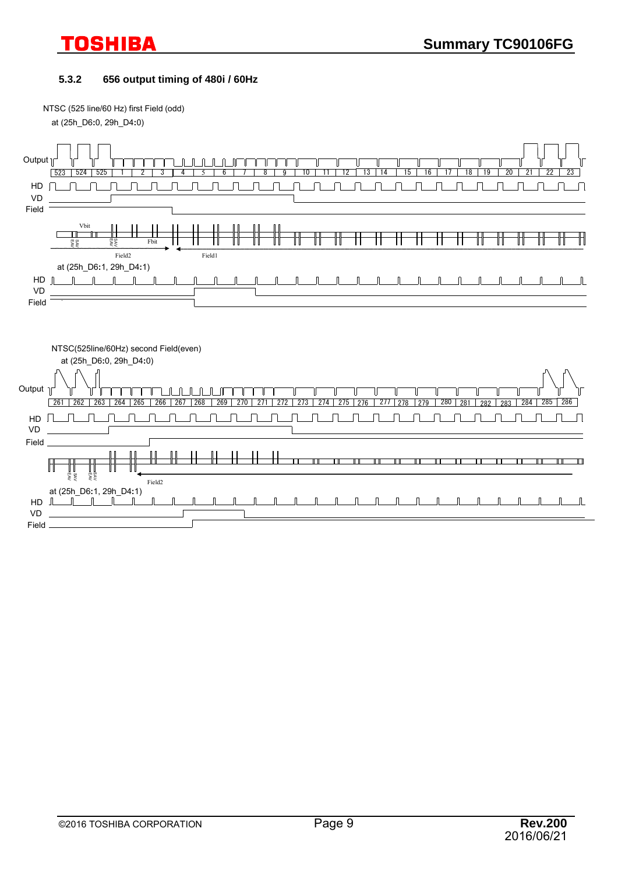### **5.3.2 656 output timing of 480i / 60Hz**

NTSC (525 line/60 Hz) first Field (odd)

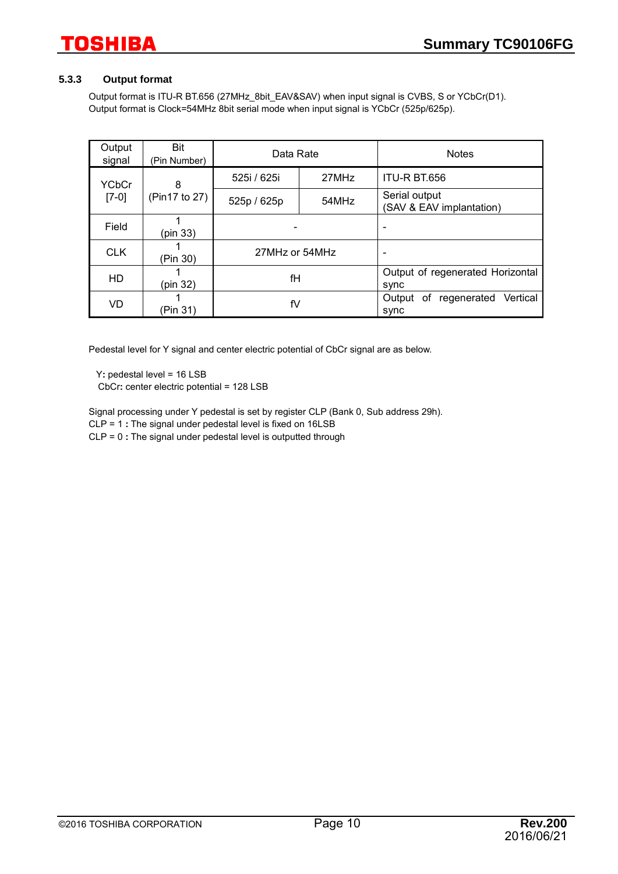### **5.3.3 Output format**

Output format is ITU-R BT.656 (27MHz\_8bit\_EAV&SAV) when input signal is CVBS, S or YCbCr(D1). Output format is Clock=54MHz 8bit serial mode when input signal is YCbCr (525p/625p).

| Output<br>signal        | Bit<br>(Pin Number) | Data Rate      |       | <b>Notes</b>                                    |
|-------------------------|---------------------|----------------|-------|-------------------------------------------------|
| <b>YCbCr</b><br>$[7-0]$ | 8                   | 525i / 625i    | 27MHz | ITU-R BT.656                                    |
|                         | (Pin17 to 27)       | 525p / 625p    | 54MHz | Serial output<br>(SAV & EAV implantation)       |
| Field                   | (pin 33)            |                |       |                                                 |
| <b>CLK</b>              | (Pin 30)            | 27MHz or 54MHz |       | ٠                                               |
| HD                      | (pin 32)            | fH             |       | Output of regenerated Horizontal<br>sync        |
| VD                      | fV<br>(Pin 31)      |                |       | of<br>Vertical<br>Output<br>regenerated<br>sync |

Pedestal level for Y signal and center electric potential of CbCr signal are as below.

Y**:** pedestal level = 16 LSB

CbCr**:** center electric potential = 128 LSB

Signal processing under Y pedestal is set by register CLP (Bank 0, Sub address 29h).

CLP = 1 **:** The signal under pedestal level is fixed on 16LSB

CLP = 0 **:** The signal under pedestal level is outputted through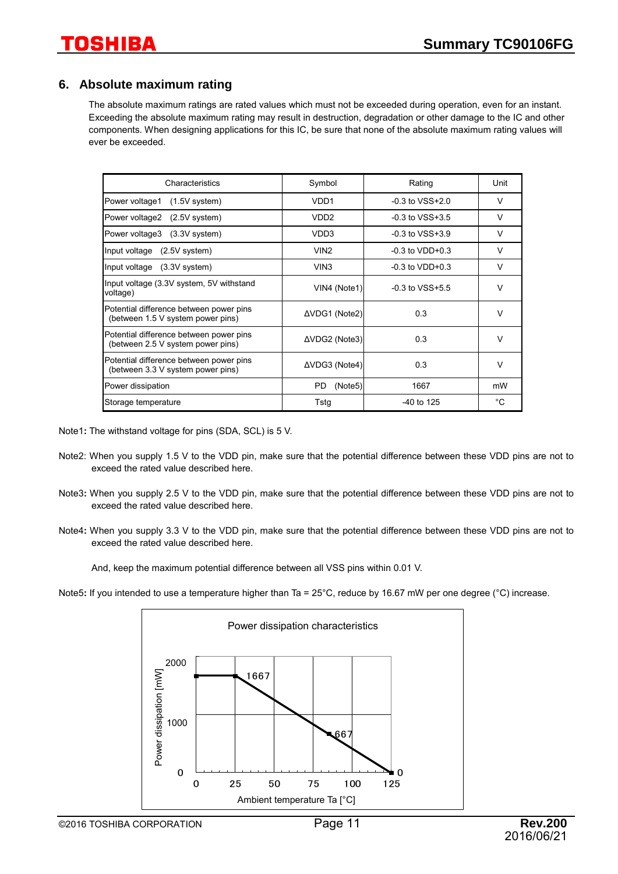### **6. Absolute maximum rating**

The absolute maximum ratings are rated values which must not be exceeded during operation, even for an instant. Exceeding the absolute maximum rating may result in destruction, degradation or other damage to the IC and other components. When designing applications for this IC, be sure that none of the absolute maximum rating values will ever be exceeded.

| Characteristics                                                              | Symbol           | Rating              | Unit   |
|------------------------------------------------------------------------------|------------------|---------------------|--------|
| Power voltage1<br>$(1.5V$ system)                                            | VDD <sub>1</sub> | $-0.3$ to $VSS+2.0$ | $\vee$ |
| Power voltage2 (2.5V system)                                                 | VDD <sub>2</sub> | $-0.3$ to $VSS+3.5$ | $\vee$ |
| Power voltage3 (3.3V system)                                                 | VDD3             | $-0.3$ to $VSS+3.9$ | $\vee$ |
| Input voltage (2.5V system)                                                  | VIN <sub>2</sub> | $-0.3$ to $VDD+0.3$ | $\vee$ |
| Input voltage (3.3V system)                                                  | VIN <sub>3</sub> | $-0.3$ to $VDD+0.3$ | $\vee$ |
| Input voltage (3.3V system, 5V withstand<br>voltage)                         | VIN4 (Note1)     | $-0.3$ to $VSS+5.5$ | $\vee$ |
| Potential difference between power pins<br>(between 1.5 V system power pins) | ΔVDG1 (Note2)    | 0.3                 | $\vee$ |
| Potential difference between power pins<br>(between 2.5 V system power pins) | ΔVDG2 (Note3)    | 0.3                 | $\vee$ |
| Potential difference between power pins<br>(between 3.3 V system power pins) | ΔVDG3 (Note4)    | 0.3                 | $\vee$ |
| Power dissipation                                                            | (Note5)<br>PD.   | 1667                | mW     |
| Storage temperature                                                          | Tstg             | -40 to 125          | °C     |

Note1**:** The withstand voltage for pins (SDA, SCL) is 5 V.

- Note2: When you supply 1.5 V to the VDD pin, make sure that the potential difference between these VDD pins are not to exceed the rated value described here.
- Note3**:** When you supply 2.5 V to the VDD pin, make sure that the potential difference between these VDD pins are not to exceed the rated value described here.
- Note4**:** When you supply 3.3 V to the VDD pin, make sure that the potential difference between these VDD pins are not to exceed the rated value described here.

And, keep the maximum potential difference between all VSS pins within 0.01 V.

Note5: If you intended to use a temperature higher than Ta = 25°C, reduce by 16.67 mW per one degree (°C) increase.

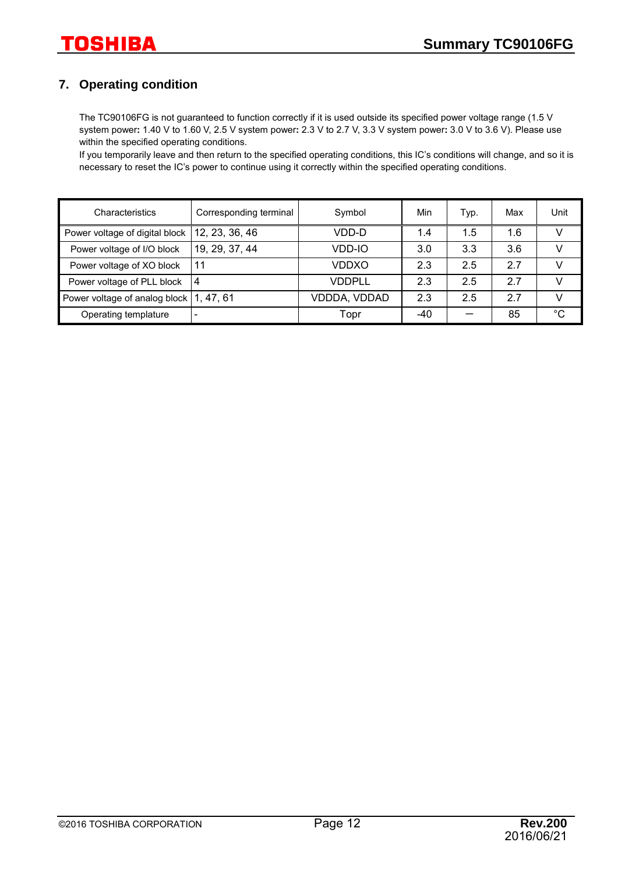### **7. Operating condition**

The TC90106FG is not guaranteed to function correctly if it is used outside its specified power voltage range (1.5 V system power**:** 1.40 V to 1.60 V, 2.5 V system power**:** 2.3 V to 2.7 V, 3.3 V system power**:** 3.0 V to 3.6 V). Please use within the specified operating conditions.

If you temporarily leave and then return to the specified operating conditions, this IC's conditions will change, and so it is necessary to reset the IC's power to continue using it correctly within the specified operating conditions.

| Characteristics                           | Corresponding terminal | Symbol       | Min | Typ. | Max | Unit |
|-------------------------------------------|------------------------|--------------|-----|------|-----|------|
| Power voltage of digital block            | 12, 23, 36, 46         | VDD-D        | 1.4 | 1.5  | 1.6 |      |
| Power voltage of I/O block                | 19, 29, 37, 44         | VDD-IO       | 3.0 | 3.3  | 3.6 |      |
| Power voltage of XO block                 | 11                     | VDDXO        | 2.3 | 2.5  | 27  | V    |
| Power voltage of PLL block                | 4                      | VDDPLL       | 2.3 | 2.5  | 2.7 | v    |
| Power voltage of analog block   1, 47, 61 |                        | VDDDA, VDDAD | 2.3 | 2.5  | 2.7 | v    |
| Operating templature                      |                        | Topr         | -40 |      | 85  | °C   |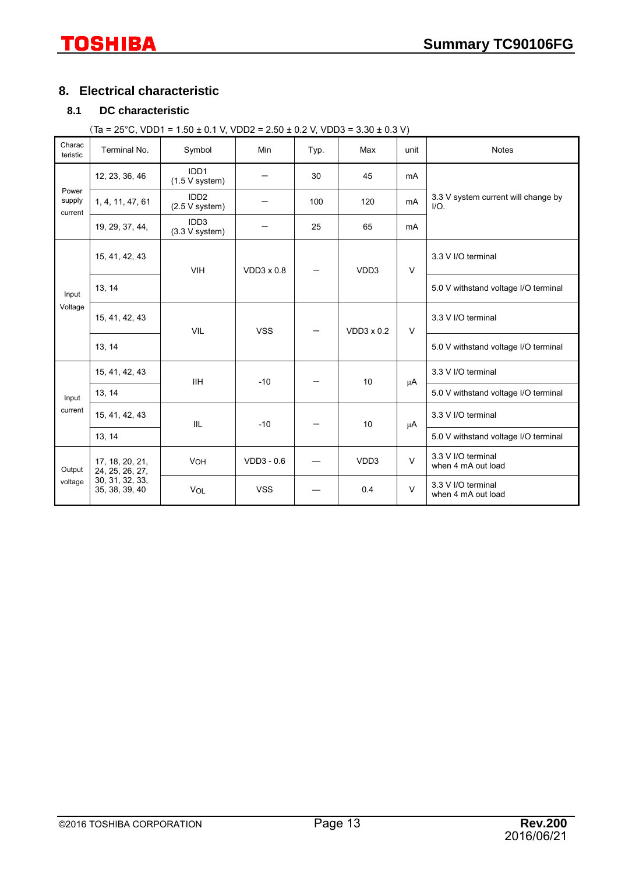### **8. Electrical characteristic**

### **8.1 DC characteristic**

 $(Ta = 25^{\circ}C, VDD1 = 1.50 \pm 0.1 V, VDD2 = 2.50 \pm 0.2 V, VDD3 = 3.30 \pm 0.3 V)$ 

| Charac<br>teristic         | Terminal No.                       | Symbol                               | Min               | Typ. | Max               | unit   | <b>Notes</b>                                   |
|----------------------------|------------------------------------|--------------------------------------|-------------------|------|-------------------|--------|------------------------------------------------|
|                            | 12, 23, 36, 46                     | IDD1<br>$(1.5 V$ system)             |                   | 30   | 45                | mA     |                                                |
| Power<br>supply<br>current | 1, 4, 11, 47, 61                   | IDD <sub>2</sub><br>$(2.5 V$ system) |                   | 100  | 120               | mA     | 3.3 V system current will change by<br>$I/O$ . |
|                            | 19, 29, 37, 44,                    | IDD <sub>3</sub><br>$(3.3 V$ system) |                   | 25   | 65                | mA     |                                                |
|                            | 15, 41, 42, 43                     | <b>VIH</b>                           | $VDD3 \times 0.8$ |      | VDD3              | $\vee$ | 3.3 V I/O terminal                             |
| Input<br>Voltage           | 13, 14                             |                                      |                   |      |                   |        | 5.0 V withstand voltage I/O terminal           |
|                            | 15, 41, 42, 43                     | <b>VIL</b>                           | <b>VSS</b>        |      | $VDD3 \times 0.2$ | $\vee$ | 3.3 V I/O terminal                             |
|                            | 13, 14                             |                                      |                   |      |                   |        | 5.0 V withstand voltage I/O terminal           |
|                            | 15, 41, 42, 43                     | <b>IIH</b>                           | $-10$             |      | 10                | μA     | 3.3 V I/O terminal                             |
| Input                      | 13, 14                             |                                      |                   |      |                   |        | 5.0 V withstand voltage I/O terminal           |
| current                    | 15, 41, 42, 43                     | IIL                                  | $-10$             |      | 10                | μA     | 3.3 V I/O terminal                             |
|                            | 13, 14                             |                                      |                   |      |                   |        | 5.0 V withstand voltage I/O terminal           |
| Output                     | 17, 18, 20, 21,<br>24, 25, 26, 27, | VOH                                  | $VDD3 - 0.6$      |      | VDD3              | $\vee$ | 3.3 V I/O terminal<br>when 4 mA out load       |
| voltage                    | 30, 31, 32, 33,<br>35, 38, 39, 40  | <b>VOL</b>                           | <b>VSS</b>        |      | 0.4               | $\vee$ | 3.3 V I/O terminal<br>when 4 mA out load       |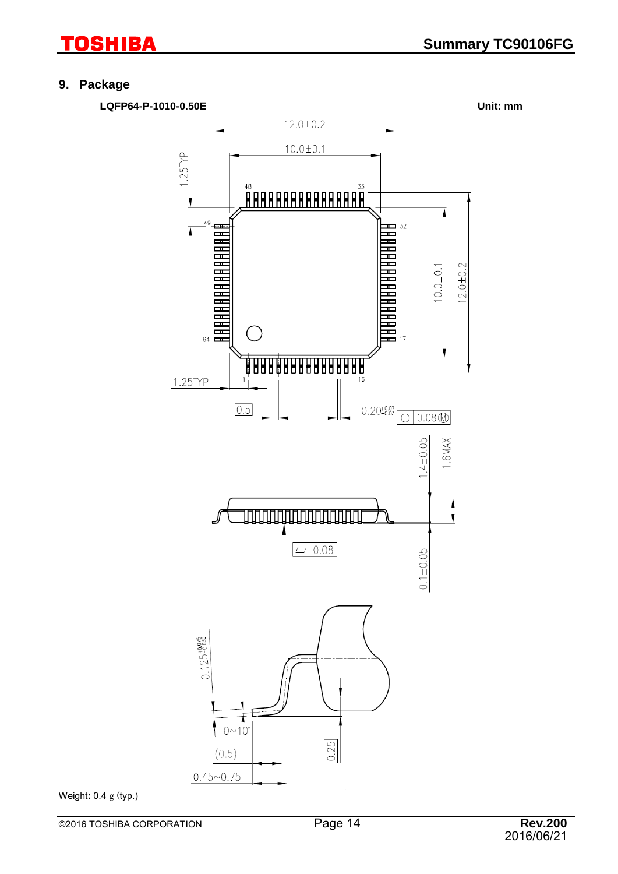### **9. Package**

**LQFP64-P-1010-0.50E Unit: mm**

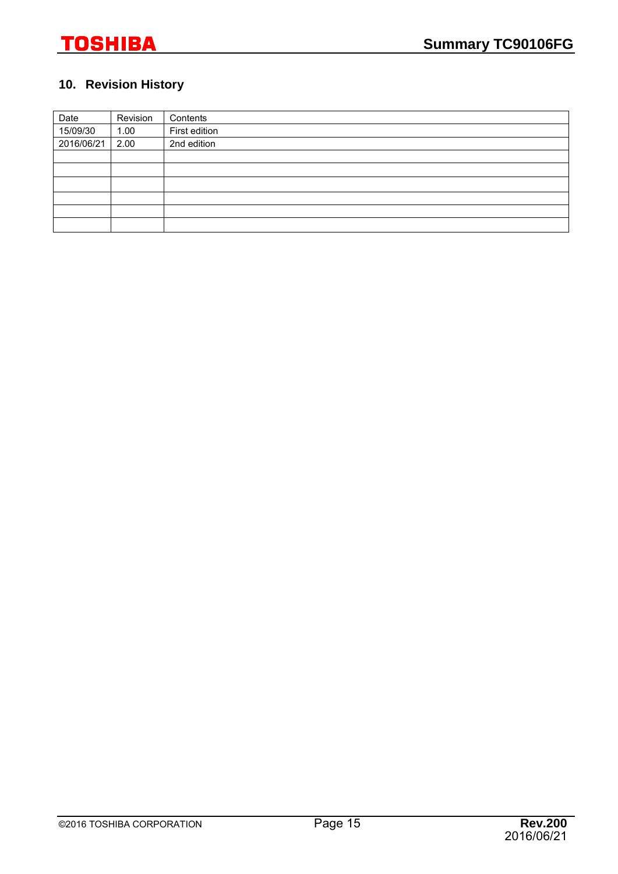### **10. Revision History**

| Date       | Revision | Contents      |
|------------|----------|---------------|
| 15/09/30   | 1.00     | First edition |
| 2016/06/21 | 2.00     | 2nd edition   |
|            |          |               |
|            |          |               |
|            |          |               |
|            |          |               |
|            |          |               |
|            |          |               |